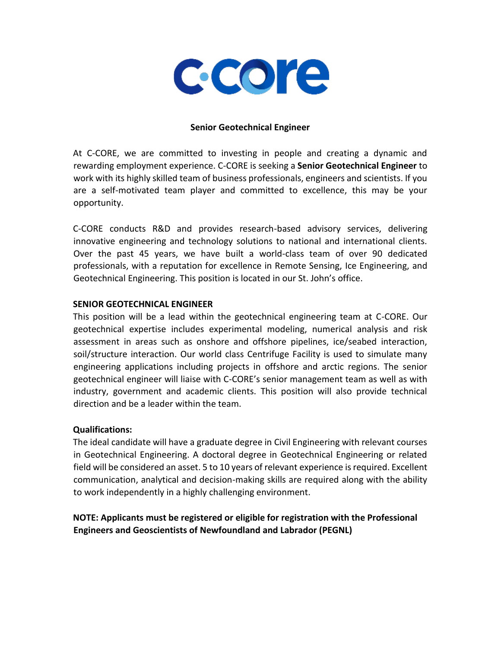

#### **Senior Geotechnical Engineer**

At C-CORE, we are committed to investing in people and creating a dynamic and rewarding employment experience. C-CORE is seeking a **Senior Geotechnical Engineer** to work with its highly skilled team of business professionals, engineers and scientists. If you are a self-motivated team player and committed to excellence, this may be your opportunity.

C-CORE conducts R&D and provides research-based advisory services, delivering innovative engineering and technology solutions to national and international clients. Over the past 45 years, we have built a world-class team of over 90 dedicated professionals, with a reputation for excellence in Remote Sensing, Ice Engineering, and Geotechnical Engineering. This position is located in our St. John's office.

### **SENIOR GEOTECHNICAL ENGINEER**

This position will be a lead within the geotechnical engineering team at C-CORE. Our geotechnical expertise includes experimental modeling, numerical analysis and risk assessment in areas such as onshore and offshore pipelines, ice/seabed interaction, soil/structure interaction. Our world class Centrifuge Facility is used to simulate many engineering applications including projects in offshore and arctic regions. The senior geotechnical engineer will liaise with C-CORE's senior management team as well as with industry, government and academic clients. This position will also provide technical direction and be a leader within the team.

### **Qualifications:**

The ideal candidate will have a graduate degree in Civil Engineering with relevant courses in Geotechnical Engineering. A doctoral degree in Geotechnical Engineering or related field will be considered an asset. 5 to 10 years of relevant experience is required. Excellent communication, analytical and decision-making skills are required along with the ability to work independently in a highly challenging environment.

# **NOTE: Applicants must be registered or eligible for registration with the Professional Engineers and Geoscientists of Newfoundland and Labrador (PEGNL)**